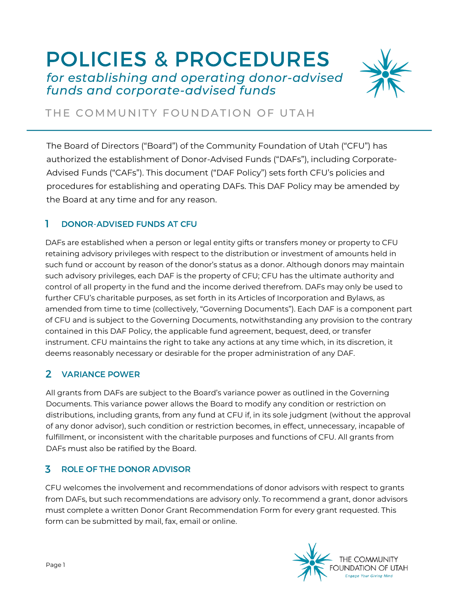# POLICIES & PROCEDURES *for establishing and operating donor-advised funds and corporate-advised funds*



## THE COMMUNITY FOUNDATION OF UTAH

The Board of Directors ("Board") of the Community Foundation of Utah ("CFU") has authorized the establishment of Donor-Advised Funds ("DAFs"), including Corporate-Advised Funds ("CAFs"). This document ("DAF Policy") sets forth CFU's policies and procedures for establishing and operating DAFs. This DAF Policy may be amended by the Board at any time and for any reason.

#### 1 DONOR-ADVISED FUNDS AT CFU

DAFs are established when a person or legal entity gifts or transfers money or property to CFU retaining advisory privileges with respect to the distribution or investment of amounts held in such fund or account by reason of the donor's status as a donor. Although donors may maintain such advisory privileges, each DAF is the property of CFU; CFU has the ultimate authority and control of all property in the fund and the income derived therefrom. DAFs may only be used to further CFU's charitable purposes, as set forth in its Articles of Incorporation and Bylaws, as amended from time to time (collectively, "Governing Documents"). Each DAF is a component part of CFU and is subject to the Governing Documents, notwithstanding any provision to the contrary contained in this DAF Policy, the applicable fund agreement, bequest, deed, or transfer instrument. CFU maintains the right to take any actions at any time which, in its discretion, it deems reasonably necessary or desirable for the proper administration of any DAF.

### 2 VARIANCE POWER

All grants from DAFs are subject to the Board's variance power as outlined in the Governing Documents. This variance power allows the Board to modify any condition or restriction on distributions, including grants, from any fund at CFU if, in its sole judgment (without the approval of any donor advisor), such condition or restriction becomes, in effect, unnecessary, incapable of fulfillment, or inconsistent with the charitable purposes and functions of CFU. All grants from DAFs must also be ratified by the Board.

#### ROLE OF THE DONOR ADVISOR 3

CFU welcomes the involvement and recommendations of donor advisors with respect to grants from DAFs, but such recommendations are advisory only. To recommend a grant, donor advisors must complete a written Donor Grant Recommendation Form for every grant requested. This form can be submitted by mail, fax, email or online.

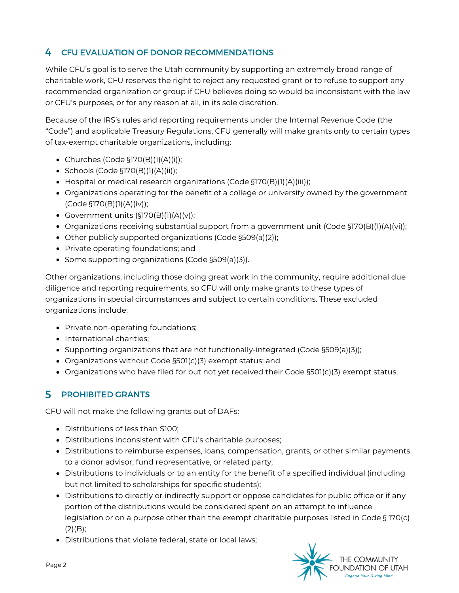#### 4 CFU EVALUATION OF DONOR RECOMMENDATIONS

While CFU's goal is to serve the Utah community by supporting an extremely broad range of charitable work, CFU reserves the right to reject any requested grant or to refuse to support any recommended organization or group if CFU believes doing so would be inconsistent with the law or CFU's purposes, or for any reason at all, in its sole discretion.

Because of the IRS's rules and reporting requirements under the Internal Revenue Code (the "Code") and applicable Treasury Regulations, CFU generally will make grants only to certain types of tax-exempt charitable organizations, including:

- Churches (Code §170(B)(1)(A)(i));
- $\bullet$  Schools (Code §170(B)(1)(A)(ii));
- Hospital or medical research organizations (Code §170(B)(1)(A)(iii));
- Organizations operating for the benefit of a college or university owned by the government (Code §170(B)(1)(A)(iv));
- Government units  $(S170(B)(1)(A)(v))$ ;
- $\bullet$  Organizations receiving substantial support from a government unit (Code §170(B)(1)(A)(vi));
- Other publicly supported organizations (Code §509(a)(2));
- Private operating foundations; and
- Some supporting organizations (Code §509(a)(3)).

Other organizations, including those doing great work in the community, require additional due diligence and reporting requirements, so CFU will only make grants to these types of organizations in special circumstances and subject to certain conditions. These excluded organizations include:

- Private non-operating foundations;
- International charities;
- $\bullet$  Supporting organizations that are not functionally-integrated (Code §509(a)(3));
- Organizations without Code §501(c)(3) exempt status; and
- Organizations who have filed for but not yet received their Code §501(c)(3) exempt status.

#### 5 PROHIBITED GRANTS

CFU will not make the following grants out of DAFs:

- Distributions of less than \$100;
- Distributions inconsistent with CFU's charitable purposes;
- Distributions to reimburse expenses, loans, compensation, grants, or other similar payments to a donor advisor, fund representative, or related party;
- Distributions to individuals or to an entity for the benefit of a specified individual (including but not limited to scholarships for specific students);
- Distributions to directly or indirectly support or oppose candidates for public office or if any portion of the distributions would be considered spent on an attempt to influence legislation or on a purpose other than the exempt charitable purposes listed in Code § 170(c)  $(2)(B)$ ;
- Distributions that violate federal, state or local laws;

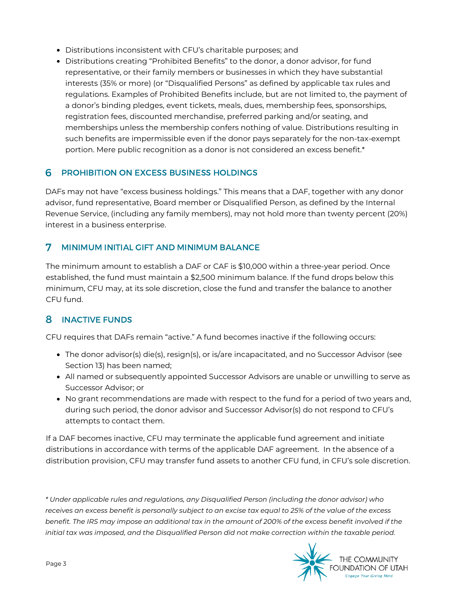- Distributions inconsistent with CFU's charitable purposes; and
- Distributions creating "Prohibited Benefits" to the donor, a donor advisor, for fund representative, or their family members or businesses in which they have substantial interests (35% or more) (or "Disqualified Persons" as defined by applicable tax rules and regulations. Examples of Prohibited Benefits include, but are not limited to, the payment of a donor's binding pledges, event tickets, meals, dues, membership fees, sponsorships, registration fees, discounted merchandise, preferred parking and/or seating, and memberships unless the membership confers nothing of value. Distributions resulting in such benefits are impermissible even if the donor pays separately for the non-tax-exempt portion. Mere public recognition as a donor is not considered an excess benefit.\*

#### **6 PROHIBITION ON EXCESS BUSINESS HOLDINGS**

DAFs may not have "excess business holdings." This means that a DAF, together with any donor advisor, fund representative, Board member or Disqualified Person, as defined by the Internal Revenue Service, (including any family members), may not hold more than twenty percent (20%) interest in a business enterprise.

#### MINIMUM INITIAL GIFT AND MINIMUM BALANCE 7

The minimum amount to establish a DAF or CAF is \$10,000 within a three-year period. Once established, the fund must maintain a \$2,500 minimum balance. If the fund drops below this minimum, CFU may, at its sole discretion, close the fund and transfer the balance to another CFU fund.

### 8 INACTIVE FUNDS

CFU requires that DAFs remain "active." A fund becomes inactive if the following occurs:

- The donor advisor(s) die(s), resign(s), or is/are incapacitated, and no Successor Advisor (see Section 13) has been named;
- All named or subsequently appointed Successor Advisors are unable or unwilling to serve as Successor Advisor; or
- No grant recommendations are made with respect to the fund for a period of two years and, during such period, the donor advisor and Successor Advisor(s) do not respond to CFU's attempts to contact them.

If a DAF becomes inactive, CFU may terminate the applicable fund agreement and initiate distributions in accordance with terms of the applicable DAF agreement. In the absence of a distribution provision, CFU may transfer fund assets to another CFU fund, in CFU's sole discretion.

*\* Under applicable rules and regulations, any Disqualified Person (including the donor advisor) who* receives an excess benefit is personally subject to an excise tax equal to 25% of the value of the excess benefit. The IRS may impose an additional tax in the amount of 200% of the excess benefit involved if the *initial tax was imposed, and the Disqualified Person did not make correction within the taxable period.*

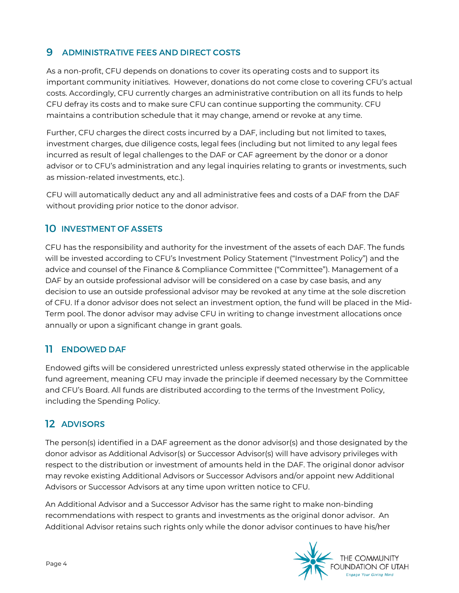#### ADMINISTRATIVE FEES AND DIRECT COSTS 9

As a non-profit, CFU depends on donations to cover its operating costs and to support its important community initiatives. However, donations do not come close to covering CFU's actual costs. Accordingly, CFU currently charges an administrative contribution on all its funds to help CFU defray its costs and to make sure CFU can continue supporting the community. CFU maintains a contribution schedule that it may change, amend or revoke at any time.

Further, CFU charges the direct costs incurred by a DAF, including but not limited to taxes, investment charges, due diligence costs, legal fees (including but not limited to any legal fees incurred as result of legal challenges to the DAF or CAF agreement by the donor or a donor advisor or to CFU's administration and any legal inquiries relating to grants or investments, such as mission-related investments, etc.).

CFU will automatically deduct any and all administrative fees and costs of a DAF from the DAF without providing prior notice to the donor advisor.

#### 10 INVESTMENT OF ASSETS

CFU has the responsibility and authority for the investment of the assets of each DAF. The funds will be invested according to CFU's Investment Policy Statement ("Investment Policy") and the advice and counsel of the Finance & Compliance Committee ("Committee"). Management of a DAF by an outside professional advisor will be considered on a case by case basis, and any decision to use an outside professional advisor may be revoked at any time at the sole discretion of CFU. If a donor advisor does not select an investment option, the fund will be placed in the Mid-Term pool. The donor advisor may advise CFU in writing to change investment allocations once annually or upon a significant change in grant goals.

### 11 ENDOWED DAF

Endowed gifts will be considered unrestricted unless expressly stated otherwise in the applicable fund agreement, meaning CFU may invade the principle if deemed necessary by the Committee and CFU's Board. All funds are distributed according to the terms of the Investment Policy, including the Spending Policy.

### 12 ADVISORS

The person(s) identified in a DAF agreement as the donor advisor(s) and those designated by the donor advisor as Additional Advisor(s) or Successor Advisor(s) will have advisory privileges with respect to the distribution or investment of amounts held in the DAF. The original donor advisor may revoke existing Additional Advisors or Successor Advisors and/or appoint new Additional Advisors or Successor Advisors at any time upon written notice to CFU.

An Additional Advisor and a Successor Advisor has the same right to make non-binding recommendations with respect to grants and investments as the original donor advisor. An Additional Advisor retains such rights only while the donor advisor continues to have his/her

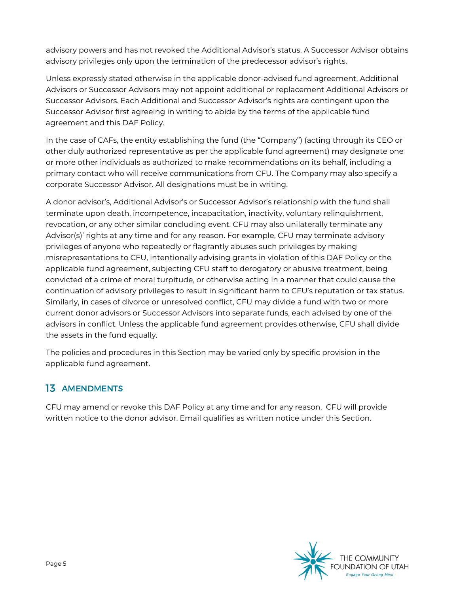advisory powers and has not revoked the Additional Advisor's status. A Successor Advisor obtains advisory privileges only upon the termination of the predecessor advisor's rights.

Unless expressly stated otherwise in the applicable donor-advised fund agreement, Additional Advisors or Successor Advisors may not appoint additional or replacement Additional Advisors or Successor Advisors. Each Additional and Successor Advisor's rights are contingent upon the Successor Advisor first agreeing in writing to abide by the terms of the applicable fund agreement and this DAF Policy.

In the case of CAFs, the entity establishing the fund (the "Company") (acting through its CEO or other duly authorized representative as per the applicable fund agreement) may designate one or more other individuals as authorized to make recommendations on its behalf, including a primary contact who will receive communications from CFU. The Company may also specify a corporate Successor Advisor. All designations must be in writing.

A donor advisor's, Additional Advisor's or Successor Advisor's relationship with the fund shall terminate upon death, incompetence, incapacitation, inactivity, voluntary relinquishment, revocation, or any other similar concluding event. CFU may also unilaterally terminate any Advisor(s)' rights at any time and for any reason. For example, CFU may terminate advisory privileges of anyone who repeatedly or flagrantly abuses such privileges by making misrepresentations to CFU, intentionally advising grants in violation of this DAF Policy or the applicable fund agreement, subjecting CFU staff to derogatory or abusive treatment, being convicted of a crime of moral turpitude, or otherwise acting in a manner that could cause the continuation of advisory privileges to result in significant harm to CFU's reputation or tax status. Similarly, in cases of divorce or unresolved conflict, CFU may divide a fund with two or more current donor advisors or Successor Advisors into separate funds, each advised by one of the advisors in conflict. Unless the applicable fund agreement provides otherwise, CFU shall divide the assets in the fund equally.

The policies and procedures in this Section may be varied only by specific provision in the applicable fund agreement.

### 13 AMENDMENTS

CFU may amend or revoke this DAF Policy at any time and for any reason. CFU will provide written notice to the donor advisor. Email qualifies as written notice under this Section.